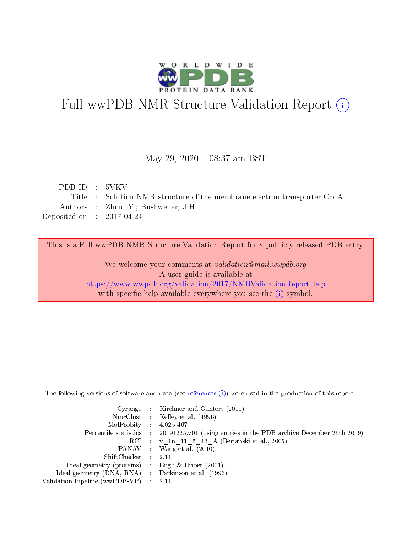

# Full wwPDB NMR Structure Validation Report (i)

## May 29, 2020 - 08:37 am BST

| PDBID : 5VKV                |                                                                          |
|-----------------------------|--------------------------------------------------------------------------|
|                             | Title : Solution NMR structure of the membrane electron transporter CcdA |
|                             | Authors : Zhou, Y.; Bushweller, J.H.                                     |
| Deposited on : $2017-04-24$ |                                                                          |
|                             |                                                                          |

This is a Full wwPDB NMR Structure Validation Report for a publicly released PDB entry.

We welcome your comments at validation@mail.wwpdb.org A user guide is available at <https://www.wwpdb.org/validation/2017/NMRValidationReportHelp> with specific help available everywhere you see the  $(i)$  symbol.

The following versions of software and data (see [references](https://www.wwpdb.org/validation/2017/NMRValidationReportHelp#references)  $(1)$ ) were used in the production of this report:

|                                                     | Cyrange : Kirchner and Güntert $(2011)$                                                    |
|-----------------------------------------------------|--------------------------------------------------------------------------------------------|
|                                                     | NmrClust : Kelley et al. (1996)                                                            |
| MolProbity : 4.02b-467                              |                                                                                            |
|                                                     | Percentile statistics : 20191225.v01 (using entries in the PDB archive December 25th 2019) |
|                                                     | RCI : v 1n 11 5 13 A (Berjanski et al., 2005)                                              |
|                                                     | PANAV : Wang et al. (2010)                                                                 |
| $ShiftChecker$ : 2.11                               |                                                                                            |
| Ideal geometry (proteins) : Engh $\&$ Huber (2001)  |                                                                                            |
| Ideal geometry (DNA, RNA) : Parkinson et al. (1996) |                                                                                            |
| Validation Pipeline (wwPDB-VP) : 2.11               |                                                                                            |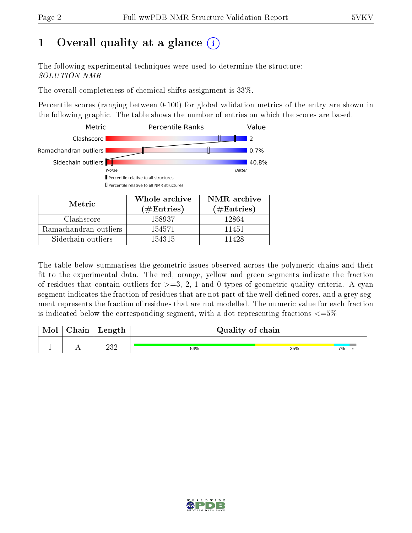# 1 [O](https://www.wwpdb.org/validation/2017/NMRValidationReportHelp#overall_quality)verall quality at a glance  $(i)$

The following experimental techniques were used to determine the structure: SOLUTION NMR

The overall completeness of chemical shifts assignment is 33%.

Percentile scores (ranging between 0-100) for global validation metrics of the entry are shown in the following graphic. The table shows the number of entries on which the scores are based.



| <b>IVICULIU</b>       | (# $\rm{Entries}$ ) | $(\#Entries)$ |
|-----------------------|---------------------|---------------|
| Clashscore            | 158937              | 12864         |
| Ramachandran outliers | 154571              | 11451         |
| Sidechain outliers    | 154315              | 11428         |

The table below summarises the geometric issues observed across the polymeric chains and their fit to the experimental data. The red, orange, yellow and green segments indicate the fraction of residues that contain outliers for  $>=3, 2, 1$  and 0 types of geometric quality criteria. A cyan segment indicates the fraction of residues that are not part of the well-defined cores, and a grey segment represents the fraction of residues that are not modelled. The numeric value for each fraction is indicated below the corresponding segment, with a dot representing fractions  $\epsilon = 5\%$ 

| Mol | ${\bf Chain}$ | Length      | Quality of chain |     |    |
|-----|---------------|-------------|------------------|-----|----|
|     | . .           | າາ າ<br>∠∪∠ | 54%              | 35% | 7% |

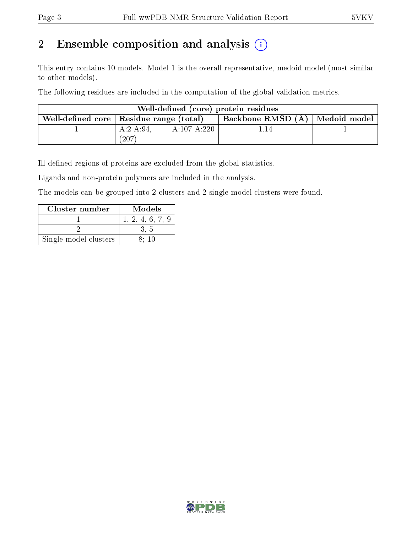# 2 Ensemble composition and analysis  $(i)$

This entry contains 10 models. Model 1 is the overall representative, medoid model (most similar to other models).

The following residues are included in the computation of the global validation metrics.

| Well-defined (core) protein residues            |                                  |             |      |  |  |  |  |
|-------------------------------------------------|----------------------------------|-------------|------|--|--|--|--|
| Well-defined core $\vert$ Residue range (total) | Backbone RMSD (A)   Medoid model |             |      |  |  |  |  |
|                                                 | $A:2-A:94$ .                     | A:107-A:220 | 1.14 |  |  |  |  |
|                                                 | (207)                            |             |      |  |  |  |  |

Ill-defined regions of proteins are excluded from the global statistics.

Ligands and non-protein polymers are included in the analysis.

The models can be grouped into 2 clusters and 2 single-model clusters were found.

| Cluster number        | Models           |
|-----------------------|------------------|
|                       | 1, 2, 4, 6, 7, 9 |
|                       |                  |
| Single-model clusters | 8:10             |

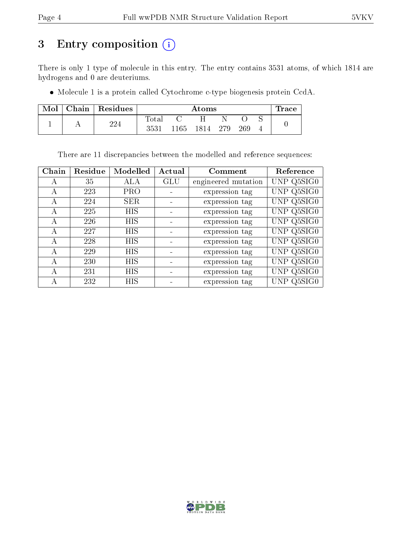# 3 Entry composition (i)

There is only 1 type of molecule in this entry. The entry contains 3531 atoms, of which 1814 are hydrogens and 0 are deuteriums.

Molecule 1 is a protein called Cytochrome c-type biogenesis protein CcdA.

| Mol | Chain Residues |                | Atoms |      |     |     |  | $\operatorname{Trace}$ |
|-----|----------------|----------------|-------|------|-----|-----|--|------------------------|
|     | 224            | $_{\rm Total}$ |       | н    |     |     |  |                        |
|     |                | 3531           | 1165  | 1814 | 279 | 269 |  |                        |

There are 11 discrepancies between the modelled and reference sequences:

| Chain        | Residue | Modelled   | Actual     | Comment             | Reference  |
|--------------|---------|------------|------------|---------------------|------------|
| А            | 35      | ALA        | <b>GLU</b> | engineered mutation | UNP Q5SIG0 |
| А            | 223     | <b>PRO</b> |            | expression tag      | UNP Q5SIG0 |
| $\mathbf{A}$ | 224     | <b>SER</b> |            | expression tag      | UNP Q5SIG0 |
| A            | 225     | <b>HIS</b> |            | expression tag      | UNP Q5SIG0 |
| A            | 226     | <b>HIS</b> |            | expression tag      | UNP Q5SIG0 |
| $\mathsf{A}$ | 227     | <b>HIS</b> |            | expression tag      | UNP Q5SIG0 |
| $\mathsf{A}$ | 228     | HIS        |            | expression tag      | UNP Q5SIG0 |
| А            | 229     | HIS        |            | expression tag      | UNP Q5SIG0 |
| А            | 230     | НIS        |            | expression tag      | UNP Q5SIG0 |
| А            | 231     | <b>HIS</b> |            | expression tag      | UNP Q5SIG0 |
| А            | 232     | HIS        |            | expression tag      | UNP Q5SIG0 |

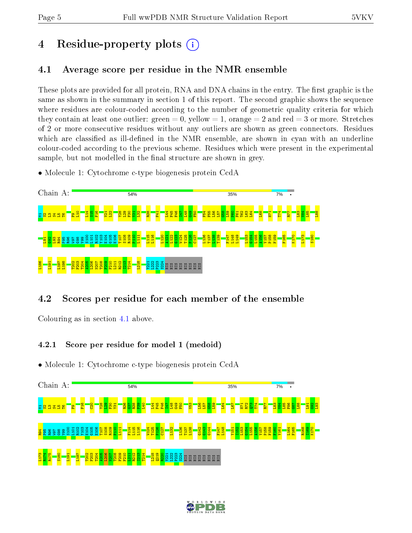# 4 Residue-property plots  $\binom{1}{1}$

## <span id="page-4-0"></span>4.1 Average score per residue in the NMR ensemble

These plots are provided for all protein, RNA and DNA chains in the entry. The first graphic is the same as shown in the summary in section 1 of this report. The second graphic shows the sequence where residues are colour-coded according to the number of geometric quality criteria for which they contain at least one outlier: green  $= 0$ , yellow  $= 1$ , orange  $= 2$  and red  $= 3$  or more. Stretches of 2 or more consecutive residues without any outliers are shown as green connectors. Residues which are classified as ill-defined in the NMR ensemble, are shown in cyan with an underline colour-coded according to the previous scheme. Residues which were present in the experimental sample, but not modelled in the final structure are shown in grey.

• Molecule 1: Cytochrome c-type biogenesis protein CcdA



## 4.2 Scores per residue for each member of the ensemble

Colouring as in section [4.1](#page-4-0) above.

## 4.2.1 Score per residue for model 1 (medoid)

• Molecule 1: Cytochrome c-type biogenesis protein CcdA



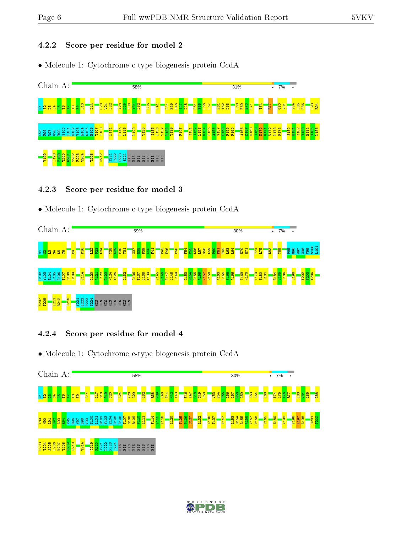#### 4.2.2 Score per residue for model 2

• Molecule 1: Cytochrome c-type biogenesis protein CcdA



### 4.2.3 Score per residue for model 3

• Molecule 1: Cytochrome c-type biogenesis protein CcdA



#### 4.2.4 Score per residue for model 4

• Molecule 1: Cytochrome c-type biogenesis protein CcdA



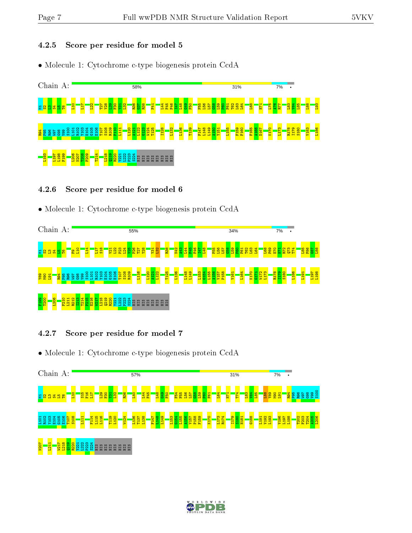### 4.2.5 Score per residue for model 5

• Molecule 1: Cytochrome c-type biogenesis protein CcdA



#### 4.2.6 Score per residue for model 6

• Molecule 1: Cytochrome c-type biogenesis protein CcdA



## 4.2.7 Score per residue for model 7

• Molecule 1: Cytochrome c-type biogenesis protein CcdA



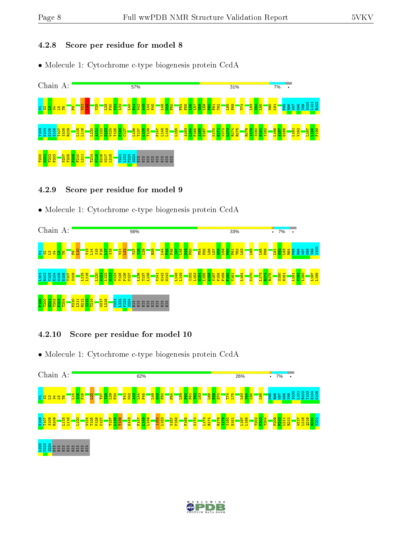#### 4.2.8 Score per residue for model 8

• Molecule 1: Cytochrome c-type biogenesis protein CcdA



#### 4.2.9 Score per residue for model 9

• Molecule 1: Cytochrome c-type biogenesis protein CcdA



#### 4.2.10 Score per residue for model 10

• Molecule 1: Cytochrome c-type biogenesis protein CcdA



#### $\frac{222}{2}$ s<br>Sa Sa E E E E E E E E

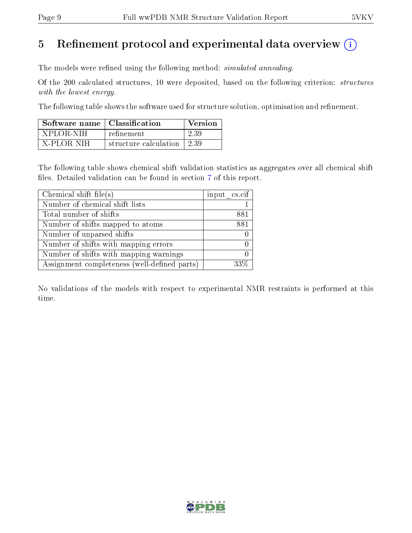# 5 Refinement protocol and experimental data overview  $\binom{1}{k}$

The models were refined using the following method: *simulated annealing*.

Of the 200 calculated structures, 10 were deposited, based on the following criterion: structures with the lowest energy.

The following table shows the software used for structure solution, optimisation and refinement.

| Software name   Classification |                       | Version |
|--------------------------------|-----------------------|---------|
| XPLOR-NIH                      | refinement            | 2.39    |
| X-PLOR NIH                     | structure calculation | 1239    |

The following table shows chemical shift validation statistics as aggregates over all chemical shift files. Detailed validation can be found in section [7](#page-16-0) of this report.

| Chemical shift file(s)                       | input cs.cif |
|----------------------------------------------|--------------|
| Number of chemical shift lists               |              |
| Total number of shifts                       | 881          |
| Number of shifts mapped to atoms             | 881          |
| Number of unparsed shifts                    |              |
| Number of shifts with mapping errors         |              |
| Number of shifts with mapping warnings       |              |
| Assignment completeness (well-defined parts) |              |

No validations of the models with respect to experimental NMR restraints is performed at this time.

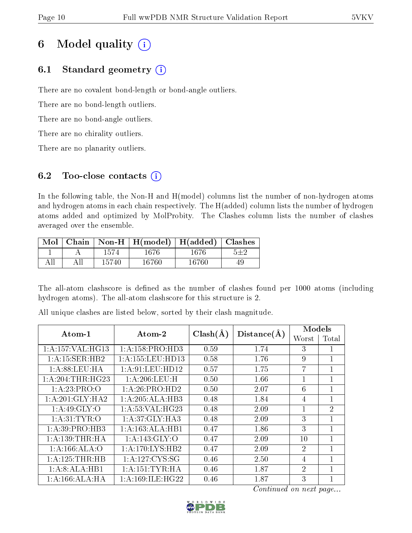# 6 Model quality  $(i)$

## 6.1 Standard geometry  $(i)$

There are no covalent bond-length or bond-angle outliers.

There are no bond-length outliers.

There are no bond-angle outliers.

There are no chirality outliers.

There are no planarity outliers.

## 6.2 Too-close contacts  $(i)$

In the following table, the Non-H and H(model) columns list the number of non-hydrogen atoms and hydrogen atoms in each chain respectively. The H(added) column lists the number of hydrogen atoms added and optimized by MolProbity. The Clashes column lists the number of clashes averaged over the ensemble.

| $\text{Mol}$ |       | Chain   Non-H   H(model)   H(added)   Clashes |       |  |
|--------------|-------|-----------------------------------------------|-------|--|
|              | 1574  | 1676                                          | 1676  |  |
|              | 15740 | 16760                                         | 16760 |  |

The all-atom clashscore is defined as the number of clashes found per 1000 atoms (including hydrogen atoms). The all-atom clashscore for this structure is 2.

| Atom-1               | Atom-2              | $Clash(\AA)$ | Distance(A) | Models                      |                |  |
|----------------------|---------------------|--------------|-------------|-----------------------------|----------------|--|
|                      |                     |              |             | Worst                       | Total          |  |
| 1: A: 157: VAL: HG13 | 1: A: 158: PRO: HD3 | 0.59         | 1.74        | 3                           |                |  |
| 1:A:15:SER:HB2       | 1:A:155:LEU:HD13    | 0.58         | 1.76        | 9                           | 1              |  |
| 1: A:88:LEU:HA       | 1: A:91: LEU: HD12  | 0.57         | 1.75        | 7                           | 1              |  |
| 1: A:204:THR:HG23    | 1:A:206:LEU:H       | 0.50         | 1.66        |                             | 1              |  |
| 1:A:23:PRO:O         | 1:A:26:PRO:HD2      | 0.50         | 2.07        | 6                           | 1              |  |
| 1: A:201: GLY:HA2    | 1:A:205:ALA:HB3     | 0.48         | 1.84        | 4                           | 1              |  |
| 1:A:49:GLY:O         | 1: A:53: VAL:HG23   | 0.48         | 2.09        |                             | $\overline{2}$ |  |
| 1: A:31: TYR:O       | 1:A:37:GLY:HA3      | 0.48         | 2.09        | 3                           | 1              |  |
| 1: A:39: PRO:HB3     | 1:A:163:ALA:HB1     | 0.47         | 1.86        | 3                           | 1              |  |
| 1: A: 139: THR: HA   | 1:A:143:GLY:O       | 0.47         | 2.09        | 10                          | $\mathbf 1$    |  |
| 1: A:166: ALA:O      | 1:A:170:LYS:HB2     | 0.47         | 2.09        | $\overline{2}$              | 1              |  |
| 1:A:125:THR:HB       | 1:A:127:CYS:SG      | 0.46         | 2.50        | 4                           | 1              |  |
| 1:A:8:ALA:HB1        | 1: A:151:TYR:HA     | 0.46         | 1.87        | $\mathcal{D}_{\mathcal{L}}$ | 1              |  |
| 1:A:166:ALA:HA       | 1: A:169: ILE: HG22 | 0.46         | 1.87        | 3                           | 1              |  |

All unique clashes are listed below, sorted by their clash magnitude.

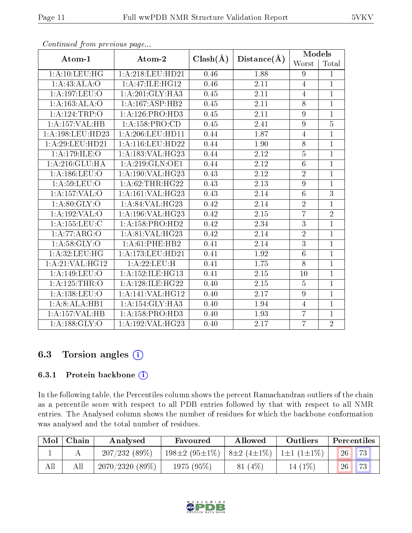| Atom-1               | Atom-2                        | $Clash(\AA)$      | Distance(A)       | Models          |                |
|----------------------|-------------------------------|-------------------|-------------------|-----------------|----------------|
|                      |                               |                   |                   | Worst           | Total          |
| 1:A:10:LEU:HG        | 1:A:218:LEU:HD21              | 0.46              | 1.88              | 9               | $\mathbf{1}$   |
| 1:A:43:ALA:O         | 1:A:47:ILE:HG12               | 0.46              | 2.11              | $\overline{4}$  | $\mathbf{1}$   |
| 1:A:197:LEU:O        | 1:A:201:GLY:HA3               | 0.45              | 2.11              | $\overline{4}$  | $\overline{1}$ |
| 1:A:163:ALA:O        | 1:A:167:ASP:HB2               | 0.45              | 2.11              | 8               | $\mathbf{1}$   |
| 1:A:124:TRP:O        | 1: A:126: PRO:HD3             | 0.45              | 2.11              | 9               | $\mathbf{1}$   |
| 1:A:157:VAL:HB       | 1: A: 158: PRO:CD             | 0.45              | 2.41              | $\overline{9}$  | $\overline{5}$ |
| 1: A: 198: LEU: HD23 | 1: A:206:LEU:HD11             | 0.44              | 1.87              | $\overline{4}$  | $\mathbf{1}$   |
| 1: A:29:LEU:HD21     | 1:A:116:LEU:HD22              | 0.44              | 1.90              | 8               | $\mathbf{1}$   |
| 1:A:179:ILE:O        | 1:A:183:VAL:H G23             | 0.44              | $\overline{2.12}$ | $\overline{5}$  | $\overline{1}$ |
| 1:A:216:GLU:HA       | 1: A:219: GLN:OE1             | 0.44              | 2.12              | $\sqrt{6}$      | $\mathbf{1}$   |
| 1:A:186:LEU:O        | 1:A:190:VAL:HG23              | 0.43              | 2.12              | $\sqrt{2}$      | $\overline{1}$ |
| 1: A:59: LEU:O       | 1: A:62:THR:HG22              | 0.43              | 2.13              | 9               | $\mathbf{1}$   |
| 1:A:157:VAL:O        | 1: A:161: VAL:HG23            | 0.43              | 2.14              | $\sqrt{6}$      | 3              |
| 1: A:80: GLY:O       | 1: A:84:VAL:HG23              | 0.42              | 2.14              | $\overline{2}$  | $\overline{1}$ |
| 1: A: 192: VAL: O    | 1:A:196:VAL:HG23              | 0.42              | 2.15              | $\overline{7}$  | $\overline{2}$ |
| 1: A: 155: LEU: C    | $1:A:158:P\overline{RO:HD2}$  | 0.42              | 2.34              | $\overline{3}$  | $\overline{1}$ |
| 1:A:77:ARG:O         | 1:A:81:VAL:HG23               | 0.42              | 2.14              | $\sqrt{2}$      | $\mathbf{1}$   |
| 1: A:58: GLY:O       | 1:A:61:PHE:HB2                | $\overline{0.41}$ | $\overline{2.14}$ | $\overline{3}$  | $\overline{1}$ |
| 1:A:32:LEU:HG        | 1:A:173:LEU:HD21              | 0.41              | 1.92              | $6\phantom{.}6$ | $\mathbf{1}$   |
| 1:A:21:VAL:HG12      | 1:A:22:LEU:H                  | 0.41              | 1.75              | 8               | $\mathbf{1}$   |
| 1:A:149:LEU:O        | 1: A: 152: ILE: HG13          | 0.41              | 2.15              | 10              | $\mathbf{1}$   |
| 1:A:125:THR:O        | 1:A:128:ILE:HG22              | 0.40              | 2.15              | $\overline{5}$  | $\mathbf{1}$   |
| 1: A: 138: LEU: O    | $1:A:141:\overline{VAL:HG12}$ | 0.40              | 2.17              | 9               | $\mathbf{1}$   |
| 1:A:8:ALA:HB1        | 1:A:154:GLY:HA3               | 0.40              | 1.94              | $\overline{4}$  | $\overline{1}$ |
| 1:A:157:VAL:HB       | 1: A: 158: PRO: HD3           | 0.40              | 1.93              | $\overline{7}$  | $\mathbf{1}$   |
| 1: A: 188: GLY: O    | 1:A:192:VAL:HG23              | 0.40              | 2.17              | $\overline{7}$  | $\overline{2}$ |

## 6.3 Torsion angles (i)

#### 6.3.1 Protein backbone (i)

In the following table, the Percentiles column shows the percent Ramachandran outliers of the chain as a percentile score with respect to all PDB entries followed by that with respect to all NMR entries. The Analysed column shows the number of residues for which the backbone conformation was analysed and the total number of residues.

| Mol | Chain | Analysed       | Favoured                                                                   | Allowed   | Outliers | Percentiles |                 |
|-----|-------|----------------|----------------------------------------------------------------------------|-----------|----------|-------------|-----------------|
|     |       | 207/232(89%)   | $198\pm2$ (95 $\pm1\%$ )   8 $\pm2$ (4 $\pm1\%$ )   1 $\pm1$ (1 $\pm1\%$ ) |           |          | 26          | 73              |
| All |       | 2070/2320(89%) | $1975(95\%)$                                                               | $81(4\%)$ | 14 (1%)  | 26          | 73 <sub>1</sub> |

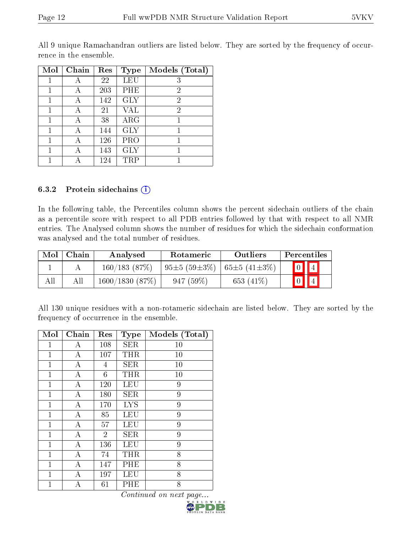| Mol | Chain | $\operatorname{Res}% \left( \mathcal{N}\right) \equiv\operatorname{Res}(\mathcal{N}_{0})\left( \mathcal{N}_{0}\right) ^{\ast}\left( \mathcal{N}_{0}\right)$ | <b>Type</b> | Models (Total) |
|-----|-------|-------------------------------------------------------------------------------------------------------------------------------------------------------------|-------------|----------------|
|     |       | 22                                                                                                                                                          | LEU         | 3              |
|     |       | 203                                                                                                                                                         | PHE         | $\overline{2}$ |
|     |       | 142                                                                                                                                                         | <b>GLY</b>  | $\overline{2}$ |
| 1   |       | 21                                                                                                                                                          | VAL         | 2              |
|     |       | 38                                                                                                                                                          | ARG         |                |
| 1   |       | 144                                                                                                                                                         | <b>GLY</b>  |                |
|     |       | 126                                                                                                                                                         | PRO         |                |
| 1   |       | 143                                                                                                                                                         | <b>GLY</b>  |                |
|     |       | 124                                                                                                                                                         | TRP         |                |

All 9 unique Ramachandran outliers are listed below. They are sorted by the frequency of occurrence in the ensemble.

#### 6.3.2 Protein sidechains  $(i)$

In the following table, the Percentiles column shows the percent sidechain outliers of the chain as a percentile score with respect to all PDB entries followed by that with respect to all NMR entries. The Analysed column shows the number of residues for which the sidechain conformation was analysed and the total number of residues.

| Mol | Chain | Analysed       | Rotameric           | Outliers            |             | <b>Percentiles</b>      |
|-----|-------|----------------|---------------------|---------------------|-------------|-------------------------|
|     |       | 160/183(87%)   | $+95\pm5(59\pm3\%)$ | $+65\pm5(41\pm3\%)$ |             | $\boxed{0}$ $\boxed{4}$ |
| Al' | All   | 1600/1830(87%) | 947(59%)            | 653 $(41\%)$        | $\boxed{0}$ |                         |

All 130 unique residues with a non-rotameric sidechain are listed below. They are sorted by the frequency of occurrence in the ensemble.

| Mol          | Chain              | Res            | <b>Type</b> | Models (Total) |
|--------------|--------------------|----------------|-------------|----------------|
| 1            | А                  | 108            | <b>SER</b>  | 10             |
| $\mathbf 1$  | А                  | 107            | THR         | 10             |
| 1            | А                  | 4              | <b>SER</b>  | 10             |
| $\mathbf{1}$ | A                  | 6              | THR         | 10             |
| 1            | А                  | 120            | LEU         | 9              |
| $\mathbf{1}$ | А                  | 180            | <b>SER</b>  | 9              |
| $\mathbf{1}$ | A                  | 170            | <b>LYS</b>  | 9              |
| $\mathbf{1}$ | А                  | 85             | LEU         | 9              |
| 1            | A                  | 57             | LEU         | 9              |
| $\mathbf{1}$ | $\overline{\rm A}$ | $\overline{2}$ | <b>SER</b>  | 9              |
| 1            | А                  | 136            | <b>LEU</b>  | 9              |
| $\mathbf{1}$ | А                  | 74             | THR         | 8              |
| $\mathbf{1}$ | A                  | 147            | PHE         | 8              |
| 1            | А                  | 197            | <b>LEU</b>  | 8              |
| 1            | А                  | 61             | PHE         | 8              |

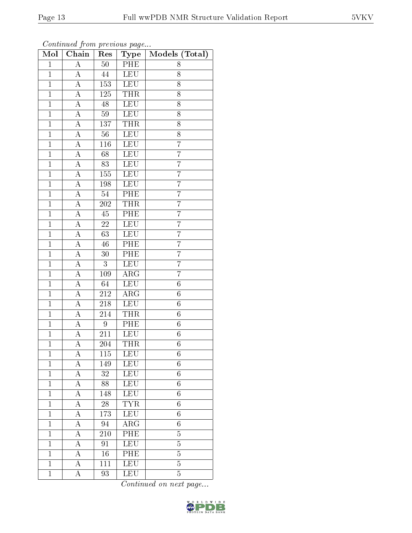|--|--|

| Mol            | Chain              | Res                        | Type                  | Models (Total)   |
|----------------|--------------------|----------------------------|-----------------------|------------------|
| $\mathbf{1}$   | $\boldsymbol{A}$   | $50\,$                     | PHE                   | 8                |
| $\overline{1}$ | $\boldsymbol{A}$   | 44                         | <b>LEU</b>            | 8                |
| $\mathbf{1}$   | А                  | 153                        | <b>LEU</b>            | 8                |
| $\mathbf{1}$   | А                  | 125                        | <b>THR</b>            | 8                |
| $\overline{1}$ | $\overline{A}$     | $48\,$                     | <b>LEU</b>            | $\overline{8}$   |
| $\mathbf{1}$   | А                  | 59                         | <b>LEU</b>            | 8                |
| $\mathbf{1}$   | A                  | 137                        | <b>THR</b>            | 8                |
| $\mathbf{1}$   | $\boldsymbol{A}$   | $56\,$                     | <b>LEU</b>            | 8                |
| $\mathbf{1}$   | $\overline{\rm A}$ | $116\,$                    | <b>LEU</b>            | $\overline{7}$   |
| $\overline{1}$ | $\overline{A}$     | 68                         | <b>LEU</b>            | $\overline{7}$   |
| $\mathbf{1}$   | $\boldsymbol{A}$   | 83                         | <b>LEU</b>            | $\overline{7}$   |
| $\mathbf{1}$   | $\overline{A}$     | 155                        | <b>LEU</b>            | 7                |
| $\overline{1}$ | $\overline{\rm A}$ | 198                        | LEU                   | $\overline{7}$   |
| $\overline{1}$ | $\overline{A}$     | $54\,$                     | PHE                   | 7                |
| $\overline{1}$ | $\overline{\rm A}$ | 202                        | <b>THR</b>            | $\overline{7}$   |
| $\mathbf{1}$   | $\boldsymbol{A}$   | 45                         | $P\overline{HE}$      | $\overline{7}$   |
| $\overline{1}$ | $\overline{A}$     | $\overline{22}$            | <b>LEU</b>            | $\overline{7}$   |
| $\mathbf{1}$   | $\boldsymbol{A}$   | 63                         | <b>LEU</b>            | $\overline{7}$   |
| $\overline{1}$ | A                  | 46                         | PHE                   | $\overline{7}$   |
| $\overline{1}$ | A                  | 30                         | PHE                   | $\overline{7}$   |
| $\mathbf{1}$   | $\boldsymbol{A}$   | 3                          | <b>LEU</b>            | $\overline{7}$   |
| $\mathbf{1}$   | $\boldsymbol{A}$   | 109                        | $\rm{ARG}$            | $\overline{7}$   |
| $\overline{1}$ | А                  | 64                         | <b>LEU</b>            | $\overline{6}$   |
| $\overline{1}$ | A                  | $\overline{212}$           | $\overline{\rm{ARG}}$ | $\overline{6}$   |
| $\mathbf{1}$   | A                  | 218                        | LEU                   | $\overline{6}$   |
| $\mathbf{1}$   | А                  | 214                        | <b>THR</b>            | $\sqrt{6}$       |
| $\mathbf{1}$   | $\boldsymbol{A}$   | 9                          | PHE                   | $\sqrt{6}$       |
| $\mathbf{1}$   | $\boldsymbol{A}$   | 211                        | LEU                   | $\boldsymbol{6}$ |
| $\overline{1}$ | $\overline{\rm A}$ | 204                        | <b>THR</b>            | $\overline{6}$   |
| $\mathbf{1}$   | А                  | 115                        | LEU                   | 6                |
| $\mathbf{1}$   | А                  | 149                        | LEU                   | 6                |
| $\mathbf{1}$   | $\boldsymbol{A}$   | $\overline{3}\overline{2}$ | LEU                   | $\overline{6}$   |
| $\mathbf{1}$   | $\bar{\text{A}}$   | 88                         | LEU                   | 6                |
| $\overline{1}$ | A                  | 148                        | <b>LEU</b>            | $\overline{6}$   |
| $\mathbf 1$    | А                  | 28                         | <b>TYR</b>            | 6                |
| $\mathbf{1}$   | A                  | 173                        | <b>LEU</b>            | $\overline{6}$   |
| $\mathbf{1}$   | А                  | 94                         | ${\rm ARG}$           | 6                |
| $\overline{1}$ | А                  | 210                        | PHE                   | $\overline{5}$   |
| $\mathbf{1}$   | А                  | 91                         | LEU                   | $\overline{5}$   |
| $\mathbf{1}$   | А                  | 16                         | PHE                   | $\overline{5}$   |
| $\mathbf{1}$   | А                  | 111                        | <b>LEU</b>            | $\overline{5}$   |
| $\mathbf{1}$   | А                  | 93                         | LEU                   | $\overline{5}$   |

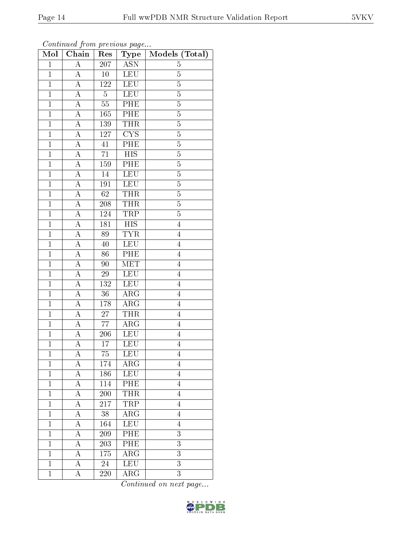| $\bf{Mol}$     | -- <i>.</i><br>Chain | $\mathbf{r}$ .<br>Res | $\mathbf{r}$ $\mathbf{v}$<br>Type | Models (Total) |
|----------------|----------------------|-----------------------|-----------------------------------|----------------|
| $\mathbf 1$    | $\overline{\rm A}$   | $\overline{207}$      | <b>ASN</b>                        | $\overline{5}$ |
| $\overline{1}$ | $\boldsymbol{A}$     | 10                    | <b>LEU</b>                        | $\overline{5}$ |
| $\overline{1}$ | $\overline{\rm A}$   | 122                   | LEU                               | $\overline{5}$ |
| $\overline{1}$ | $\boldsymbol{A}$     | $\overline{5}$        | <b>LEU</b>                        | $\overline{5}$ |
| $\overline{1}$ | $\overline{A}$       | $55\,$                | PHE                               | $\overline{5}$ |
| $\overline{1}$ | A                    | 165                   | PHE                               | $\overline{5}$ |
| $\overline{1}$ | $\boldsymbol{A}$     | 139                   | <b>THR</b>                        | $\overline{5}$ |
| $\mathbf{1}$   | А                    | 127                   | CYS                               | $\overline{5}$ |
| $\overline{1}$ | $\boldsymbol{A}$     | 41                    | PHE                               | $\overline{5}$ |
| $\overline{1}$ | A                    | $\overline{71}$       | $\overline{HIS}$                  | $\overline{5}$ |
| $\mathbf{1}$   | А                    | $159\,$               | PHE                               | $\overline{5}$ |
| $\mathbf{1}$   | А                    | $14\,$                | <b>LEU</b>                        | $\overline{5}$ |
| $\overline{1}$ | A                    | 191                   | <b>LEU</b>                        | $\overline{5}$ |
| $\mathbf{1}$   | $\boldsymbol{A}$     | 62                    | <b>THR</b>                        | $\overline{5}$ |
| $\overline{1}$ | $\overline{A}$       | $\overline{208}$      | <b>THR</b>                        | $\overline{5}$ |
| $\mathbf{1}$   | A                    | 124                   | TRP                               | $\overline{5}$ |
| $\overline{1}$ | $\overline{\rm A}$   | 181                   | $\overline{HIS}$                  | $\overline{4}$ |
| $\mathbf{1}$   | $\overline{\rm A}$   | 89                    | <b>TYR</b>                        | $\overline{4}$ |
| $\overline{1}$ | A                    | 40                    | <b>LEU</b>                        | $\overline{4}$ |
| $\overline{1}$ | $\overline{\rm A}$   | 86                    | $\overline{\text{PHE}}$           | $\overline{4}$ |
| $\mathbf{1}$   | A                    | 90                    | <b>MET</b>                        | $\overline{4}$ |
| $\overline{1}$ | $\overline{A}$       | 29                    | <b>LEU</b>                        | $\overline{4}$ |
| $\overline{1}$ | A                    | 132                   | <b>LEU</b>                        | $\overline{4}$ |
| $\overline{1}$ | $\overline{\rm A}$   | $36\,$                | $\overline{\rm{ARG}}$             | $\overline{4}$ |
| $\overline{1}$ | А                    | 178                   | $\rm{ARG}$                        | $\overline{4}$ |
| $\mathbf{1}$   | $\boldsymbol{A}$     | $27\,$                | <b>THR</b>                        | $\overline{4}$ |
| $\mathbf{1}$   | А                    | $\overline{7}7$       | $\rm{ARG}$                        | $\overline{4}$ |
| $\overline{1}$ | $\boldsymbol{A}$     | 206                   | LEU                               | $\overline{4}$ |
| $\overline{1}$ | $\overline{\rm A}$   | 17                    | <b>LEU</b>                        | $\overline{4}$ |
| $\mathbf 1$    | A                    | 75                    | LEU                               | 4              |
| $\mathbf{1}$   | А                    | 174                   | $\rm{ARG}$                        | $\overline{4}$ |
| $\mathbf{1}$   | А                    | 186                   | <b>LEU</b>                        | $\overline{4}$ |
| $\mathbf{1}$   | А                    | 114                   | PHE                               | $\overline{4}$ |
| $\mathbf{1}$   | A                    | $\overline{200}$      | <b>THR</b>                        | $\overline{4}$ |
| $\mathbf 1$    | А                    | 217                   | TRP                               | $\overline{4}$ |
| $\mathbf{1}$   | A                    | 38                    | $\rm{ARG}$                        | $\overline{4}$ |
| $\mathbf{1}$   | A                    | 164                   | LEU                               | $\overline{4}$ |
| $\mathbf{1}$   | A                    | 209                   | PHE                               | 3              |
| $\mathbf{1}$   | A                    | 203                   | PHE                               | 3              |
| $\mathbf{1}$   | А                    | 175                   | $\rm{ARG}$                        | 3              |
| $\mathbf{1}$   | А                    | 24                    | <b>LEU</b>                        | $\overline{3}$ |
| $\mathbf{1}$   | А                    | 220                   | $\rm{ARG}$                        | $\overline{3}$ |

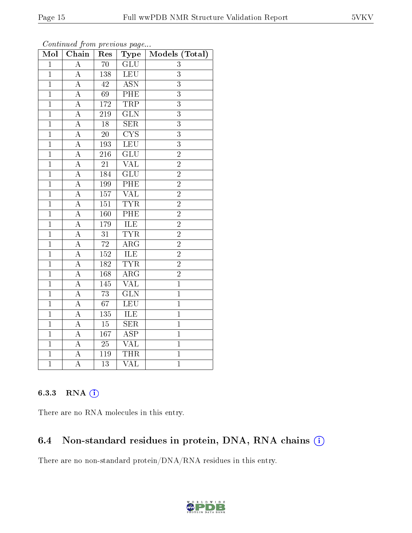| Mol            | $Ch\overline{ain}$ | Res             | Type                            | Models (Total) |
|----------------|--------------------|-----------------|---------------------------------|----------------|
| $\overline{1}$ | $\overline{\rm A}$ | $\overline{70}$ | $\overline{\text{GLU}}$         | $\overline{3}$ |
| $\mathbf{1}$   | A                  | 138             | <b>LEU</b>                      | 3              |
| $\mathbf{1}$   | $\boldsymbol{A}$   | $42\,$          | $\overline{\mathrm{ASN}}$       | $\overline{3}$ |
| $\overline{1}$ | $\overline{\rm A}$ | 69              | PHE                             | $\overline{3}$ |
| $\overline{1}$ | $\overline{\rm A}$ | 172             | <b>TRP</b>                      | $\overline{3}$ |
| $\mathbf{1}$   | $\overline{\rm A}$ | 219             | $\overline{\text{GLN}}$         | $\overline{3}$ |
| $\overline{1}$ | $\boldsymbol{A}$   | $\overline{18}$ | $\overline{\text{SER}}$         | $\overline{3}$ |
| $\mathbf{1}$   | $\overline{\rm A}$ | $\overline{20}$ | $\overline{\text{C} \text{YS}}$ | $\overline{3}$ |
| $\mathbf{1}$   | $\overline{\rm A}$ | 193             | LEU                             | $\overline{3}$ |
| $\overline{1}$ | $\overline{\rm A}$ | 216             | $\overline{\mathrm{GLU}}$       | $\overline{2}$ |
| $\overline{1}$ | A                  | 21              | $\overline{\text{VAL}}$         | $\overline{2}$ |
| $\overline{1}$ | $\overline{\rm A}$ | 184             | $\overline{{\rm GLU}}$          | $\overline{2}$ |
| $\overline{1}$ | $\overline{A}$     | 199             | PHE                             | $\overline{2}$ |
| $\overline{1}$ | $\overline{\rm A}$ | 157             | <b>VAL</b>                      | $\overline{2}$ |
| $\mathbf{1}$   | $\overline{\rm A}$ | 151             | <b>TYR</b>                      | $\overline{2}$ |
| $\overline{1}$ | $\boldsymbol{A}$   | 160             | $\overline{\rm PHE}$            | $\overline{2}$ |
| $\overline{1}$ | $\overline{\rm A}$ | 179             | ILE                             | $\overline{2}$ |
| $\mathbf{1}$   | $\boldsymbol{A}$   | 31              | <b>TYR</b>                      | $\overline{2}$ |
| $\overline{1}$ | $\boldsymbol{A}$   | $\overline{72}$ | $\overline{\rm{ARG}}$           | $\overline{2}$ |
| $\overline{1}$ | $\overline{\rm A}$ | <b>152</b>      | <b>ILE</b>                      | $\overline{2}$ |
| $\mathbf{1}$   | А                  | 182             | <b>TYR</b>                      | $\overline{2}$ |
| $\overline{1}$ | $\overline{\rm A}$ | 168             | $\overline{\rm{ARG}}$           | $\overline{2}$ |
| $\overline{1}$ | A                  | 145             | <b>VAL</b>                      | $\mathbf{1}$   |
| $\mathbf{1}$   | $\overline{\rm A}$ | $\overline{73}$ | $\overline{\text{GLN}}$         | $\overline{1}$ |
| $\overline{1}$ | $\overline{\rm A}$ | $\overline{67}$ | $\overline{\text{LEU}}$         | $\overline{1}$ |
| $\mathbf{1}$   | A                  | 135             | ILE                             | $\mathbf{1}$   |
| $\overline{1}$ | $\overline{\rm A}$ | $\overline{15}$ | $\overline{\text{SER}}$         | $\overline{1}$ |
| $\overline{1}$ | $\boldsymbol{A}$   | 167             | $\overline{\rm ASP}$            | $\mathbf{1}$   |
| $\overline{1}$ | $\overline{\rm A}$ | $25\,$          | $\overline{\text{VAL}}$         | $\overline{1}$ |
| $\overline{1}$ | $\boldsymbol{A}$   | 119             | <b>THR</b>                      | $\overline{1}$ |
| $\overline{1}$ | A                  | 13              | $\overline{\text{VAL}}$         | $\overline{1}$ |

## 6.3.3 RNA [O](https://www.wwpdb.org/validation/2017/NMRValidationReportHelp#rna)i

There are no RNA molecules in this entry.

## 6.4 Non-standard residues in protein, DNA, RNA chains (i)

There are no non-standard protein/DNA/RNA residues in this entry.

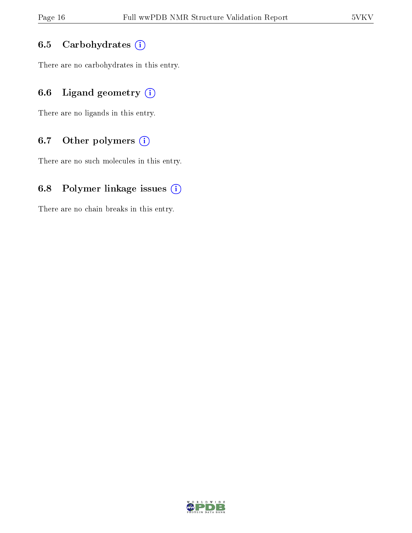## 6.5 Carbohydrates (i)

There are no carbohydrates in this entry.

## 6.6 Ligand geometry  $(i)$

There are no ligands in this entry.

## 6.7 [O](https://www.wwpdb.org/validation/2017/NMRValidationReportHelp#nonstandard_residues_and_ligands)ther polymers  $(i)$

There are no such molecules in this entry.

## 6.8 Polymer linkage issues  $(i)$

There are no chain breaks in this entry.

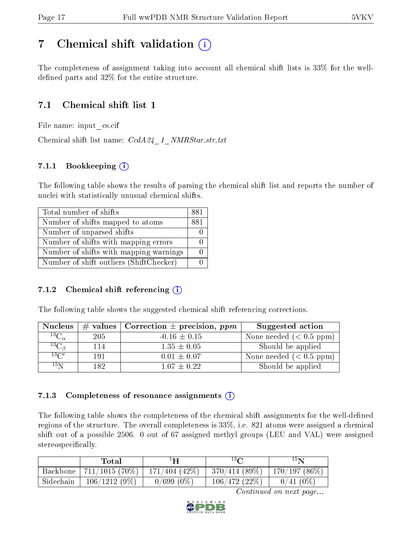# <span id="page-16-0"></span>7 Chemical shift validation  $\left( \begin{array}{c} \overline{\phantom{a}} \\ \overline{\phantom{a}} \end{array} \right)$

The completeness of assignment taking into account all chemical shift lists is 33% for the welldefined parts and  $32\%$  for the entire structure.

## 7.1 Chemical shift list 1

File name: input\_cs.cif

Chemical shift list name:  $CcdA24\_1\_NMRStar.str.txt$ 

## 7.1.1 Bookkeeping (i)

The following table shows the results of parsing the chemical shift list and reports the number of nuclei with statistically unusual chemical shifts.

| Total number of shifts                  | 881 |
|-----------------------------------------|-----|
| Number of shifts mapped to atoms        | 881 |
| Number of unparsed shifts               |     |
| Number of shifts with mapping errors    |     |
| Number of shifts with mapping warnings  |     |
| Number of shift outliers (ShiftChecker) |     |

## 7.1.2 Chemical shift referencing  $(i)$

The following table shows the suggested chemical shift referencing corrections.

| <b>Nucleus</b>      |     | # values   Correction $\pm$ precision, ppm | Suggested action        |
|---------------------|-----|--------------------------------------------|-------------------------|
| ${}^{13}C_{\alpha}$ | 205 | $-0.16 \pm 0.15$                           | None needed $(0.5 ppm)$ |
| ${}^{13}C_{\beta}$  | 114 | $1.35 \pm 0.05$                            | Should be applied       |
| $13\text{C}$        | 191 | $0.01 \pm 0.07$                            | None needed $(0.5 ppm)$ |
| 15 <sub>N</sub>     | 189 | $1.07 + 0.22$                              | Should be applied       |

## 7.1.3 Completeness of resonance assignments  $(i)$

The following table shows the completeness of the chemical shift assignments for the well-defined regions of the structure. The overall completeness is 33%, i.e. 821 atoms were assigned a chemical shift out of a possible 2506. 0 out of 67 assigned methyl groups (LEU and VAL) were assigned stereospecifically.

|           | $\rm Total$      |                    | $13\Omega$   | 15N          |
|-----------|------------------|--------------------|--------------|--------------|
| Backbone  | $711/1015(70\%)$ | $171/404$ $(42\%)$ | 370/414(89%) | 170/197(86%) |
| Sidechain | 106/1212(9%)     | $0/699(0\%)$       | 106/472(22%) | $0/41(0\%)$  |